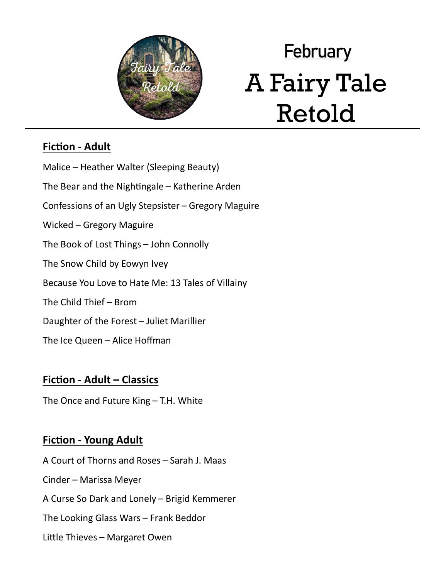

# **February** A Fairy Tale Retold

## **Fiction - Adult**

Malice – Heather Walter (Sleeping Beauty) The Bear and the Nightingale – Katherine Arden Confessions of an Ugly Stepsister – Gregory Maguire Wicked – Gregory Maguire The Book of Lost Things – John Connolly The Snow Child by Eowyn Ivey Because You Love to Hate Me: 13 Tales of Villainy The Child Thief – Brom Daughter of the Forest – Juliet Marillier The Ice Queen – Alice Hoffman

### **Fiction - Adult – Classics**

The Once and Future King – T.H. White

### **Fiction - Young Adult**

A Court of Thorns and Roses – Sarah J. Maas Cinder – Marissa Meyer A Curse So Dark and Lonely – Brigid Kemmerer The Looking Glass Wars – Frank Beddor Little Thieves – Margaret Owen